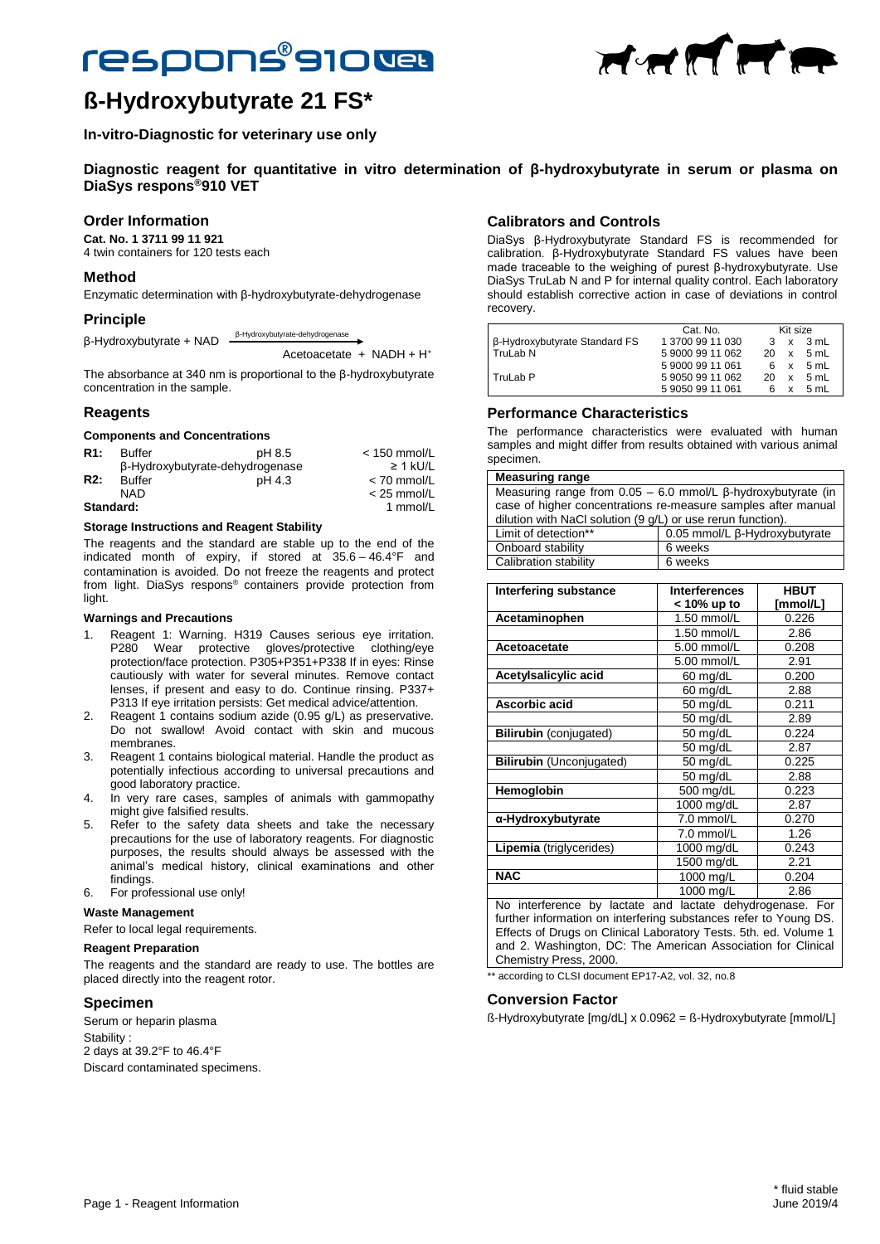# **respons®910Web**



HHIFF

## **In-vitro-Diagnostic for veterinary use only**

**Diagnostic reagent for quantitative in vitro determination of β-hydroxybutyrate in serum or plasma on DiaSys respons®910 VET**

## **Order Information**

**Cat. No. 1 3711 99 11 921** 4 twin containers for 120 tests each

### **Method**

Enzymatic determination with β-hydroxybutyrate-dehydrogenase

## **Principle**

β-Hydroxybutyrate + NAD - β-Hydroxybutyrate-dehydrogenase

Acetoacetate + NADH + H<sup>+</sup>

The absorbance at 340 nm is proportional to the β-hydroxybutyrate concentration in the sample.

#### **Reagents**

#### **Components and Concentrations**

| R1:       | <b>Buffer</b> | pH 8.5                          | $<$ 150 mmol/L |
|-----------|---------------|---------------------------------|----------------|
|           |               | β-Hydroxybutyrate-dehydrogenase | $\geq$ 1 kU/L  |
| R2:       | <b>Buffer</b> | pH 4.3                          | $< 70$ mmol/L  |
|           | NAD.          |                                 | $<$ 25 mmol/L  |
| Standard: |               | 1 mmol/L                        |                |
|           |               |                                 |                |

#### **Storage Instructions and Reagent Stability**

The reagents and the standard are stable up to the end of the indicated month of expiry, if stored at 35.6 – 46.4°F and contamination is avoided. Do not freeze the reagents and protect from light. DiaSys respons® containers provide protection from light.

#### **Warnings and Precautions**

- 1. Reagent 1: Warning. H319 Causes serious eye irritation. P280 Wear protective gloves/protective clothing/eye protection/face protection. P305+P351+P338 If in eyes: Rinse cautiously with water for several minutes. Remove contact lenses, if present and easy to do. Continue rinsing. P337+ P313 If eye irritation persists: Get medical advice/attention.
- 2. Reagent 1 contains sodium azide (0.95 g/L) as preservative. Do not swallow! Avoid contact with skin and mucous membranes.
- 3. Reagent 1 contains biological material. Handle the product as potentially infectious according to universal precautions and good laboratory practice.
- 4. In very rare cases, samples of animals with gammopathy might give falsified results.
- 5. Refer to the safety data sheets and take the necessary precautions for the use of laboratory reagents. For diagnostic purposes, the results should always be assessed with the animal's medical history, clinical examinations and other findings.
- 6. For professional use only!

#### **Waste Management**

Refer to local legal requirements.

#### **Reagent Preparation**

The reagents and the standard are ready to use. The bottles are placed directly into the reagent rotor.

## **Specimen**

Serum or heparin plasma Stability : 2 days at 39.2°F to 46.4°F Discard contaminated specimens.

## **Calibrators and Controls**

DiaSys β-Hydroxybutyrate Standard FS is recommended for calibration. β-Hydroxybutyrate Standard FS values have been made traceable to the weighing of purest β-hydroxybutyrate. Use DiaSys TruLab N and P for internal quality control. Each laboratory should establish corrective action in case of deviations in control recovery.

|                               | Cat. No.         | Kit size |              |      |
|-------------------------------|------------------|----------|--------------|------|
| β-Hydroxybutyrate Standard FS | 1 3700 99 11 030 |          | $\mathsf{x}$ | 3 mL |
| TruLab <sub>N</sub>           | 590009911062     | 20       | x            | 5 mL |
|                               | 590009911061     | 6        | x            | 5 mL |
| TruLab P                      | 590509911062     | 20       | x            | 5 mL |
|                               | 590509911061     |          | x            | 5 mL |

## **Performance Characteristics**

The performance characteristics were evaluated with human samples and might differ from results obtained with various animal specimen.

#### **Measuring range**

| Measuring range from $0.05 - 6.0$ mmol/L $\beta$ -hydroxybutyrate (in<br>case of higher concentrations re-measure samples after manual<br>dilution with NaCl solution (9 g/L) or use rerun function). |                               |  |  |  |
|-------------------------------------------------------------------------------------------------------------------------------------------------------------------------------------------------------|-------------------------------|--|--|--|
| Limit of detection**                                                                                                                                                                                  | 0.05 mmol/L β-Hydroxybutyrate |  |  |  |
| Onboard stability                                                                                                                                                                                     | 6 weeks                       |  |  |  |
| Calibration stability                                                                                                                                                                                 | 6 weeks                       |  |  |  |

| Interfering substance                                                     | <b>Interferences</b>   | <b>HBUT</b> |  |  |
|---------------------------------------------------------------------------|------------------------|-------------|--|--|
|                                                                           | < 10% up to            | [mmol/L]    |  |  |
| Acetaminophen                                                             | 1.50 mmol/L            | 0.226       |  |  |
|                                                                           | 1.50 mmol/L            | 2.86        |  |  |
| Acetoacetate                                                              | 5.00 mmol/L            | 0.208       |  |  |
|                                                                           | 5.00 mmol/L            | 2.91        |  |  |
| Acetylsalicylic acid                                                      | 60 mg/dL               | 0.200       |  |  |
|                                                                           | 60 mg/dL               | 2.88        |  |  |
| Ascorbic acid                                                             | 50 mg/dL               | 0.211       |  |  |
|                                                                           | 50 mg/dL               | 2.89        |  |  |
| <b>Bilirubin</b> (conjugated)                                             | 50 mg/dL               | 0.224       |  |  |
|                                                                           | 50 mg/dL               | 2.87        |  |  |
| <b>Bilirubin</b> (Unconjugated)                                           | 50 mg/dL               | 0.225       |  |  |
|                                                                           | 50 mg/dL               | 2.88        |  |  |
| Hemoglobin                                                                | 500 mg/dL              | 0.223       |  |  |
|                                                                           | 1000 mg/dL             | 2.87        |  |  |
| α-Hydroxybutyrate                                                         | 7.0 mmol/L             | 0.270       |  |  |
|                                                                           | 7.0 mmol/L             | 1.26        |  |  |
| Lipemia (triglycerides)                                                   | 1000 mg/dL             | 0.243       |  |  |
|                                                                           | 1500 mg/dL             | 2.21        |  |  |
| <b>NAC</b>                                                                | 1000 mg/L              | 0.204       |  |  |
|                                                                           | $\overline{1000}$ mg/L | 2.86        |  |  |
| No interference by lootete and lootete debydrograpes<br>$\Gamma_{\alpha}$ |                        |             |  |  |

o interference by lactate and lactate dehydrogenase. further information on interfering substances refer to Young DS. Effects of Drugs on Clinical Laboratory Tests. 5th. ed. Volume 1 and 2. Washington, DC: The American Association for Clinical Chemistry Press, 2000.

according to CLSI document EP17-A2, vol. 32, no.8

#### **Conversion Factor**

ß-Hydroxybutyrate [mg/dL] x 0.0962 = ß-Hydroxybutyrate [mmol/L]